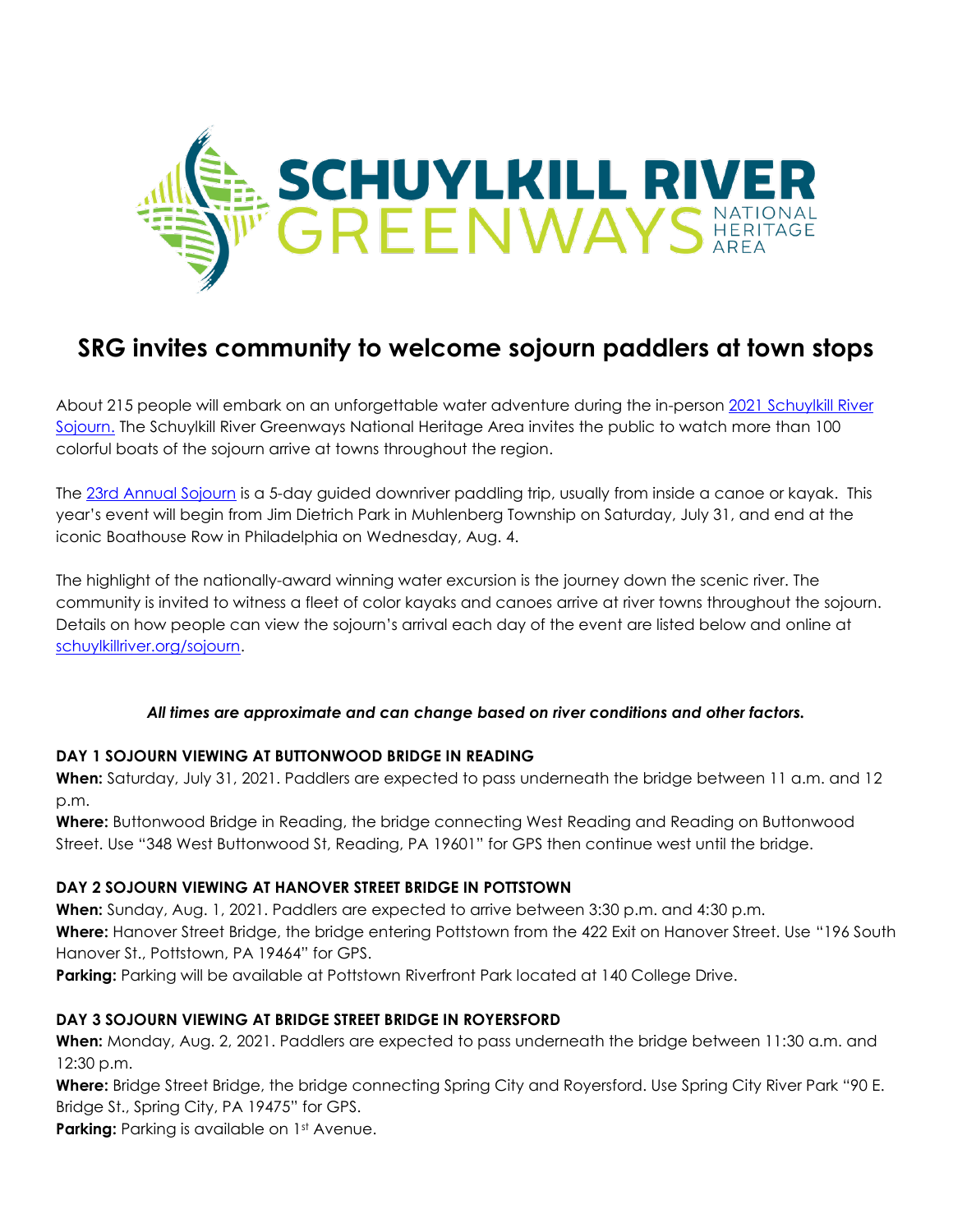

# **SRG invites community to welcome sojourn paddlers at town stops**

About 215 people will embark on an unforgettable water adventure during the in-person 2021 [Schuylkill River](https://schuylkillriver.org/programs-projects/schuylkill-river-sojourn/)  [Sojourn.](https://schuylkillriver.org/programs-projects/schuylkill-river-sojourn/) The Schuylkill River Greenways National Heritage Area invites the public to watch more than 100 colorful boats of the sojourn arrive at towns throughout the region.

The [23rd Annual Sojourn](https://schuylkillriver.org/programs-projects/schuylkill-river-sojourn/) is a 5-day guided downriver paddling trip, usually from inside a canoe or kayak. This year's event will begin from Jim Dietrich Park in Muhlenberg Township on Saturday, July 31, and end at the iconic Boathouse Row in Philadelphia on Wednesday, Aug. 4.

The highlight of the nationally-award winning water excursion is the journey down the scenic river. The community is invited to witness a fleet of color kayaks and canoes arrive at river towns throughout the sojourn. Details on how people can view the sojourn's arrival each day of the event are listed below and online at [schuylkillriver.org/sojourn.](https://schuylkillriver.org/programs-projects/schuylkill-river-sojourn/)

## *All times are approximate and can change based on river conditions and other factors.*

## **DAY 1 SOJOURN VIEWING AT BUTTONWOOD BRIDGE IN READING**

**When:** Saturday, July 31, 2021. Paddlers are expected to pass underneath the bridge between 11 a.m. and 12 p.m.

**Where:** Buttonwood Bridge in Reading, the bridge connecting West Reading and Reading on Buttonwood Street. Use "348 West Buttonwood St, Reading, PA 19601" for GPS then continue west until the bridge.

## **DAY 2 SOJOURN VIEWING AT HANOVER STREET BRIDGE IN POTTSTOWN**

**When:** Sunday, Aug. 1, 2021. Paddlers are expected to arrive between 3:30 p.m. and 4:30 p.m. **Where:** Hanover Street Bridge, the bridge entering Pottstown from the 422 Exit on Hanover Street. Use "196 South Hanover St., Pottstown, PA 19464" for GPS.

**Parking:** Parking will be available at Pottstown Riverfront Park located at 140 College Drive.

## **DAY 3 SOJOURN VIEWING AT BRIDGE STREET BRIDGE IN ROYERSFORD**

**When:** Monday, Aug. 2, 2021. Paddlers are expected to pass underneath the bridge between 11:30 a.m. and 12:30 p.m.

**Where:** Bridge Street Bridge, the bridge connecting Spring City and Royersford. Use Spring City River Park "90 E. Bridge St., Spring City, PA 19475" for GPS.

**Parking:** Parking is available on 1st Avenue.